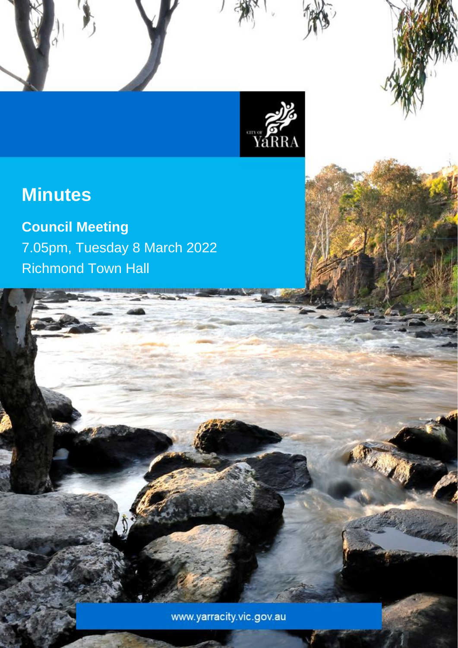

Council Meeting Minutes – 8 March 2022

# **Minutes**

**Council Meeting** 7.05pm, Tuesday 8 March 2022 Richmond Town Hall

www.yarracity.vic.gov.au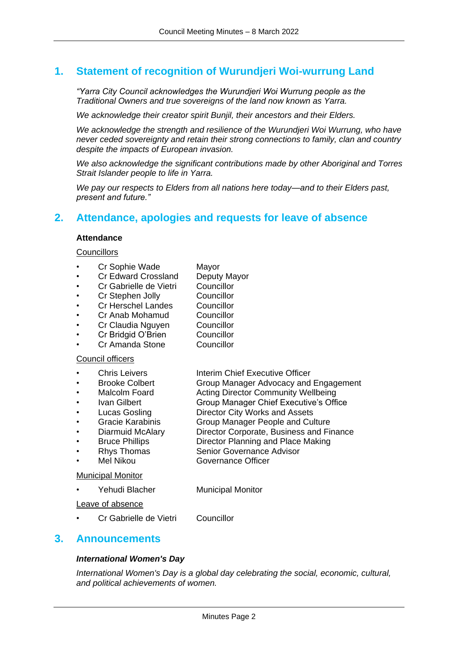## **1. Statement of recognition of Wurundjeri Woi-wurrung Land**

*"Yarra City Council acknowledges the Wurundjeri Woi Wurrung people as the Traditional Owners and true sovereigns of the land now known as Yarra.*

*We acknowledge their creator spirit Bunjil, their ancestors and their Elders.*

*We acknowledge the strength and resilience of the Wurundjeri Woi Wurrung, who have never ceded sovereignty and retain their strong connections to family, clan and country despite the impacts of European invasion.*

*We also acknowledge the significant contributions made by other Aboriginal and Torres Strait Islander people to life in Yarra.*

*We pay our respects to Elders from all nations here today—and to their Elders past, present and future."*

## **2. Attendance, apologies and requests for leave of absence**

#### **Attendance**

#### **Councillors**

- Cr Sophie Wade Mayor
- Cr Edward Crossland Deputy Mayor
- Cr Gabrielle de Vietri Councillor
- Cr Stephen Jolly Councillor
	- Cr Herschel Landes Councillor
	- Cr Anab Mohamud Councillor
		- Cr Claudia Nguyen Councillor
- Cr Bridgid O'Brien Councillor
- Cr Amanda Stone Councillor

#### Council officers

- **Chris Leivers Interim Chief Executive Officer** 
	- Brooke Colbert Group Manager Advocacy and Engagement
		- Malcolm Foard **Acting Director Community Wellbeing**
		- Ivan Gilbert Group Manager Chief Executive's Office
		- Lucas Gosling Director City Works and Assets
		- Gracie Karabinis Group Manager People and Culture
		- Diarmuid McAlary Director Corporate, Business and Finance
		- Bruce Phillips Director Planning and Place Making
		- **Rhys Thomas Senior Governance Advisor**
- Mel Nikou Governance Officer

#### Municipal Monitor

Yehudi Blacher Municipal Monitor

Leave of absence

- Cr Gabrielle de Vietri Councillor
	-

## **3. Announcements**

#### *International Women's Day*

*International Women's Day is a global day celebrating the social, economic, cultural, and political achievements of women.*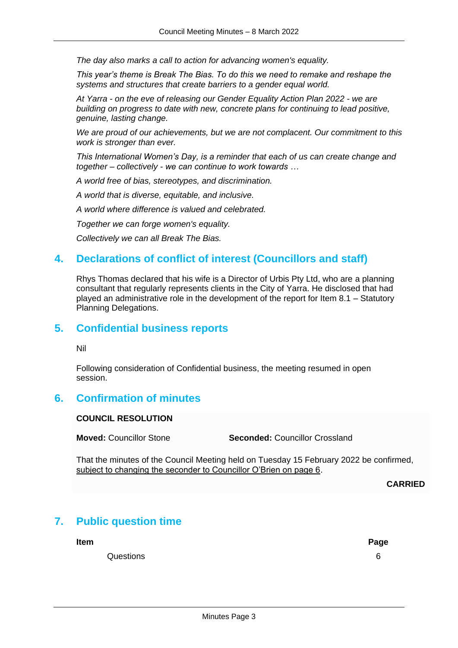*The day also marks a call to action for advancing women's equality.*

*This year's theme is Break The Bias. To do this we need to remake and reshape the systems and structures that create barriers to a gender equal world.*

*At Yarra - on the eve of releasing our Gender Equality Action Plan 2022 - we are building on progress to date with new, concrete plans for continuing to lead positive, genuine, lasting change.*

*We are proud of our achievements, but we are not complacent. Our commitment to this work is stronger than ever.*

*This International Women's Day, is a reminder that each of us can create change and together – collectively - we can continue to work towards …*

*A world free of bias, stereotypes, and discrimination.*

*A world that is diverse, equitable, and inclusive.*

*A world where difference is valued and celebrated.*

*Together we can forge women's equality.*

*Collectively we can all Break The Bias.*

## **4. Declarations of conflict of interest (Councillors and staff)**

Rhys Thomas declared that his wife is a Director of Urbis Pty Ltd, who are a planning consultant that regularly represents clients in the City of Yarra. He disclosed that had played an administrative role in the development of the report for Item 8.1 – Statutory Planning Delegations.

## **5. Confidential business reports**

Nil

Following consideration of Confidential business, the meeting resumed in open session.

## **6. Confirmation of minutes**

#### **COUNCIL RESOLUTION**

**Moved:** Councillor Stone **Seconded:** Councillor Crossland

That the minutes of the Council Meeting held on Tuesday 15 February 2022 be confirmed, subject to changing the seconder to Councillor O'Brien on page 6.

**CARRIED**

## **7. Public question time**

**Item Page**

Questions 6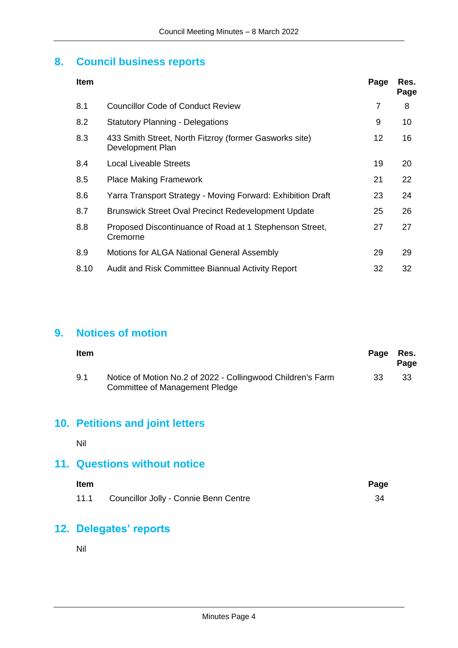## **8. Council business reports**

| <b>Item</b> |                                                                            | Page           | Res.<br>Page |
|-------------|----------------------------------------------------------------------------|----------------|--------------|
| 8.1         | Councillor Code of Conduct Review                                          | $\overline{7}$ | 8            |
| 8.2         | <b>Statutory Planning - Delegations</b>                                    | 9              | 10           |
| 8.3         | 433 Smith Street, North Fitzroy (former Gasworks site)<br>Development Plan | 12             | 16           |
| 8.4         | <b>Local Liveable Streets</b>                                              | 19             | 20           |
| 8.5         | <b>Place Making Framework</b>                                              | 21             | 22           |
| 8.6         | Yarra Transport Strategy - Moving Forward: Exhibition Draft                | 23             | 24           |
| 8.7         | <b>Brunswick Street Oval Precinct Redevelopment Update</b>                 | 25             | 26           |
| 8.8         | Proposed Discontinuance of Road at 1 Stephenson Street,<br>Cremorne        | 27             | 27           |
| 8.9         | <b>Motions for ALGA National General Assembly</b>                          | 29             | 29           |
| 8.10        | Audit and Risk Committee Biannual Activity Report                          | 32             | 32           |

## **9. Notices of motion**

| Item |                                                                                               | Page | Res.<br>Page |
|------|-----------------------------------------------------------------------------------------------|------|--------------|
| 9.1  | Notice of Motion No.2 of 2022 - Collingwood Children's Farm<br>Committee of Management Pledge | -33  | 33           |

## **10. Petitions and joint letters**

Nil

## **11. Questions without notice**

| <b>Item</b> |                                       | Page |
|-------------|---------------------------------------|------|
| 11.1        | Councillor Jolly - Connie Benn Centre |      |

## **12. Delegates' reports**

Nil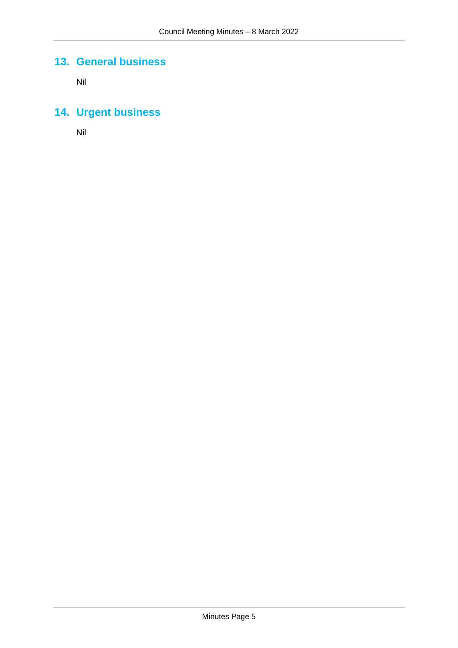## **13. General business**

Nil

## **14. Urgent business**

Nil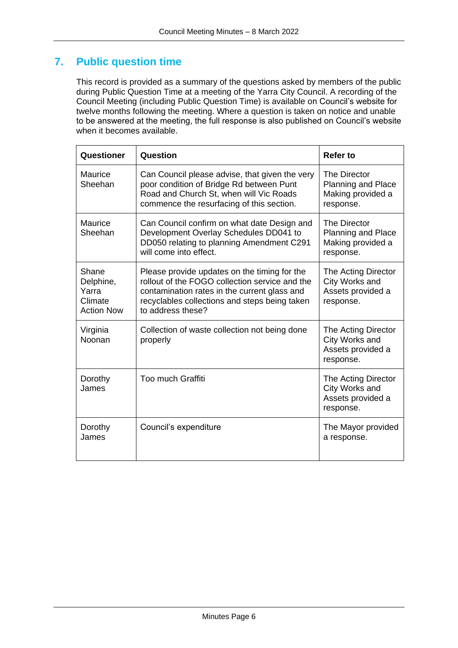## **7. Public question time**

This record is provided as a summary of the questions asked by members of the public during Public Question Time at a meeting of the Yarra City Council. A recording of the Council Meeting (including Public Question Time) is available on Council's website for twelve months following the meeting. Where a question is taken on notice and unable to be answered at the meeting, the full response is also published on Council's website when it becomes available.

| Questioner                                                  | Question                                                                                                                                                                                                             | Refer to                                                                    |
|-------------------------------------------------------------|----------------------------------------------------------------------------------------------------------------------------------------------------------------------------------------------------------------------|-----------------------------------------------------------------------------|
| Maurice<br>Sheehan                                          | Can Council please advise, that given the very<br>poor condition of Bridge Rd between Punt<br>Road and Church St, when will Vic Roads<br>commence the resurfacing of this section.                                   | The Director<br><b>Planning and Place</b><br>Making provided a<br>response. |
| Maurice<br>Sheehan                                          | Can Council confirm on what date Design and<br>Development Overlay Schedules DD041 to<br>DD050 relating to planning Amendment C291<br>will come into effect.                                                         | The Director<br><b>Planning and Place</b><br>Making provided a<br>response. |
| Shane<br>Delphine,<br>Yarra<br>Climate<br><b>Action Now</b> | Please provide updates on the timing for the<br>rollout of the FOGO collection service and the<br>contamination rates in the current glass and<br>recyclables collections and steps being taken<br>to address these? | The Acting Director<br>City Works and<br>Assets provided a<br>response.     |
| Virginia<br>Noonan                                          | Collection of waste collection not being done<br>properly                                                                                                                                                            | The Acting Director<br>City Works and<br>Assets provided a<br>response.     |
| Dorothy<br>James                                            | <b>Too much Graffiti</b>                                                                                                                                                                                             | The Acting Director<br>City Works and<br>Assets provided a<br>response.     |
| Dorothy<br>James                                            | Council's expenditure                                                                                                                                                                                                | The Mayor provided<br>a response.                                           |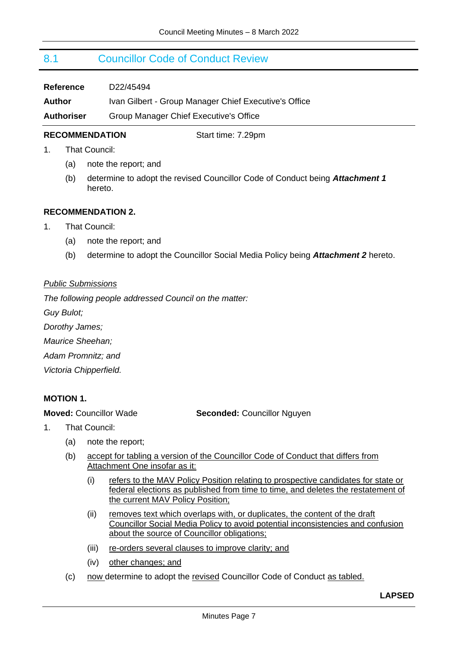## <span id="page-6-0"></span>8.1 Councillor Code of Conduct Review

| Reference         | D22/45494                                             |
|-------------------|-------------------------------------------------------|
| Author            | Ivan Gilbert - Group Manager Chief Executive's Office |
| <b>Authoriser</b> | Group Manager Chief Executive's Office                |

#### **RECOMMENDATION** Start time: 7.29pm

- 1. That Council:
	- (a) note the report; and
	- (b) determine to adopt the revised Councillor Code of Conduct being *Attachment 1* hereto.

#### **RECOMMENDATION 2.**

- 1. That Council:
	- (a) note the report; and
	- (b) determine to adopt the Councillor Social Media Policy being *Attachment 2* hereto.

#### *Public Submissions*

*The following people addressed Council on the matter:*

*Guy Bulot;*

*Dorothy James;*

*Maurice Sheehan;*

*Adam Promnitz; and*

*Victoria Chipperfield.*

#### **MOTION 1.**

**Moved:** Councillor Wade **Seconded:** Councillor Nguyen

- 1. That Council:
	- (a) note the report;
	- (b) accept for tabling a version of the Councillor Code of Conduct that differs from Attachment One insofar as it:
		- (i) refers to the MAV Policy Position relating to prospective candidates for state or federal elections as published from time to time, and deletes the restatement of the current MAV Policy Position;
		- (ii) removes text which overlaps with, or duplicates, the content of the draft Councillor Social Media Policy to avoid potential inconsistencies and confusion about the source of Councillor obligations;
		- (iii) re-orders several clauses to improve clarity; and
		- (iv) other changes; and
	- (c) now determine to adopt the revised Councillor Code of Conduct as tabled.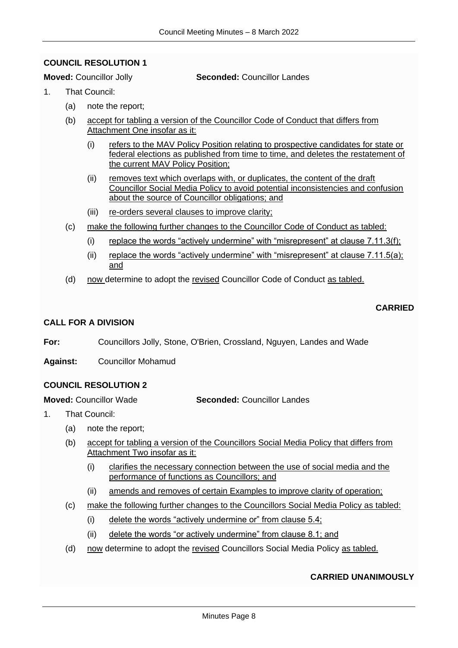#### <span id="page-7-0"></span>**COUNCIL RESOLUTION 1**

#### **Moved: Councillor Jolly <b>Seconded:** Councillor Landes

- 1. That Council:
	- (a) note the report;
	- (b) accept for tabling a version of the Councillor Code of Conduct that differs from Attachment One insofar as it:
		- (i) refers to the MAV Policy Position relating to prospective candidates for state or federal elections as published from time to time, and deletes the restatement of the current MAV Policy Position;
		- (ii) removes text which overlaps with, or duplicates, the content of the draft Councillor Social Media Policy to avoid potential inconsistencies and confusion about the source of Councillor obligations; and
		- (iii) re-orders several clauses to improve clarity;
	- (c) make the following further changes to the Councillor Code of Conduct as tabled:
		- (i) replace the words "actively undermine" with "misrepresent" at clause  $7.11.3(f)$ ;
		- (ii) replace the words "actively undermine" with "misrepresent" at clause  $7.11.5(a)$ ; and
	- (d) now determine to adopt the revised Councillor Code of Conduct as tabled.

### **CARRIED**

#### **CALL FOR A DIVISION**

**For:** Councillors Jolly, Stone, O'Brien, Crossland, Nguyen, Landes and Wade

**Against:** Councillor Mohamud

#### **COUNCIL RESOLUTION 2**

**Moved:** Councillor Wade **Seconded:** Councillor Landes

- 1. That Council:
	- (a) note the report;
	- (b) accept for tabling a version of the Councillors Social Media Policy that differs from Attachment Two insofar as it:
		- (i) clarifies the necessary connection between the use of social media and the performance of functions as Councillors; and
		- (ii) amends and removes of certain Examples to improve clarity of operation;
	- (c) make the following further changes to the Councillors Social Media Policy as tabled:
		- (i) delete the words "actively undermine or" from clause 5.4;
		- (ii) delete the words "or actively undermine" from clause 8.1; and
	- (d) now determine to adopt the revised Councillors Social Media Policy as tabled.

#### **CARRIED UNANIMOUSLY**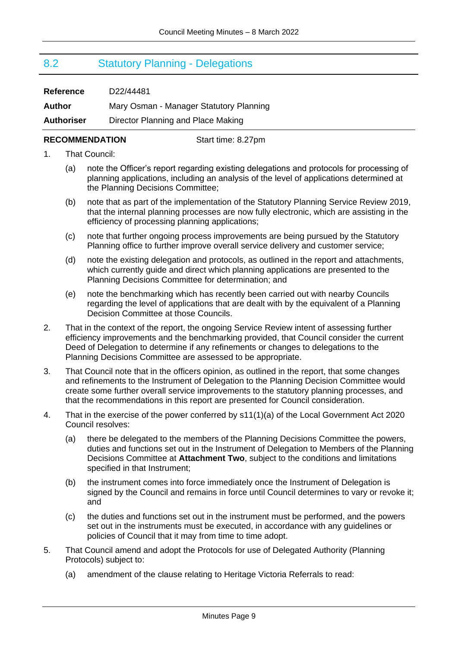## <span id="page-8-0"></span>8.2 Statutory Planning - Delegations

**Reference** D22/44481

**Author** Mary Osman - Manager Statutory Planning

**Authoriser** Director Planning and Place Making

### **RECOMMENDATION** Start time: 8.27pm

- 1. That Council:
	- (a) note the Officer's report regarding existing delegations and protocols for processing of planning applications, including an analysis of the level of applications determined at the Planning Decisions Committee;
	- (b) note that as part of the implementation of the Statutory Planning Service Review 2019, that the internal planning processes are now fully electronic, which are assisting in the efficiency of processing planning applications;
	- (c) note that further ongoing process improvements are being pursued by the Statutory Planning office to further improve overall service delivery and customer service;
	- (d) note the existing delegation and protocols, as outlined in the report and attachments, which currently guide and direct which planning applications are presented to the Planning Decisions Committee for determination; and
	- (e) note the benchmarking which has recently been carried out with nearby Councils regarding the level of applications that are dealt with by the equivalent of a Planning Decision Committee at those Councils.
- 2. That in the context of the report, the ongoing Service Review intent of assessing further efficiency improvements and the benchmarking provided, that Council consider the current Deed of Delegation to determine if any refinements or changes to delegations to the Planning Decisions Committee are assessed to be appropriate.
- 3. That Council note that in the officers opinion, as outlined in the report, that some changes and refinements to the Instrument of Delegation to the Planning Decision Committee would create some further overall service improvements to the statutory planning processes, and that the recommendations in this report are presented for Council consideration.
- 4. That in the exercise of the power conferred by s11(1)(a) of the Local Government Act 2020 Council resolves:
	- (a) there be delegated to the members of the Planning Decisions Committee the powers, duties and functions set out in the Instrument of Delegation to Members of the Planning Decisions Committee at **Attachment Two**, subject to the conditions and limitations specified in that Instrument;
	- (b) the instrument comes into force immediately once the Instrument of Delegation is signed by the Council and remains in force until Council determines to vary or revoke it; and
	- (c) the duties and functions set out in the instrument must be performed, and the powers set out in the instruments must be executed, in accordance with any guidelines or policies of Council that it may from time to time adopt.
- 5. That Council amend and adopt the Protocols for use of Delegated Authority (Planning Protocols) subject to:
	- (a) amendment of the clause relating to Heritage Victoria Referrals to read: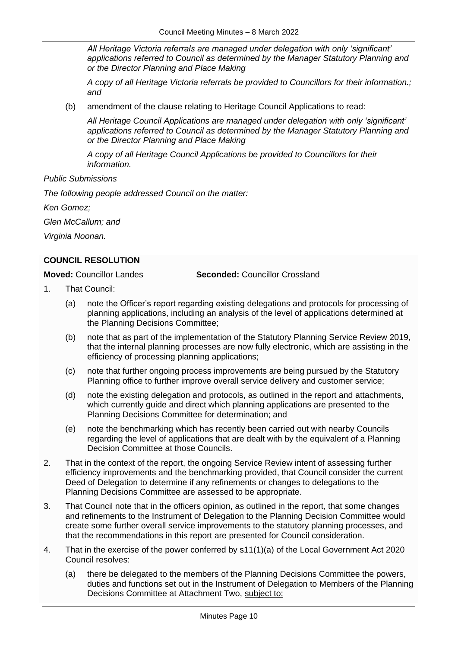*All Heritage Victoria referrals are managed under delegation with only 'significant' applications referred to Council as determined by the Manager Statutory Planning and or the Director Planning and Place Making*

*A copy of all Heritage Victoria referrals be provided to Councillors for their information.; and*

(b) amendment of the clause relating to Heritage Council Applications to read:

*All Heritage Council Applications are managed under delegation with only 'significant' applications referred to Council as determined by the Manager Statutory Planning and or the Director Planning and Place Making*

*A copy of all Heritage Council Applications be provided to Councillors for their information.*

#### *Public Submissions*

*The following people addressed Council on the matter:*

*Ken Gomez;*

*Glen McCallum; and* 

*Virginia Noonan.*

#### <span id="page-9-0"></span>**COUNCIL RESOLUTION**

**Moved:** Councillor Landes **Seconded:** Councillor Crossland

- 1. That Council:
	- (a) note the Officer's report regarding existing delegations and protocols for processing of planning applications, including an analysis of the level of applications determined at the Planning Decisions Committee;
	- (b) note that as part of the implementation of the Statutory Planning Service Review 2019, that the internal planning processes are now fully electronic, which are assisting in the efficiency of processing planning applications;
	- (c) note that further ongoing process improvements are being pursued by the Statutory Planning office to further improve overall service delivery and customer service;
	- (d) note the existing delegation and protocols, as outlined in the report and attachments, which currently guide and direct which planning applications are presented to the Planning Decisions Committee for determination; and
	- (e) note the benchmarking which has recently been carried out with nearby Councils regarding the level of applications that are dealt with by the equivalent of a Planning Decision Committee at those Councils.
- 2. That in the context of the report, the ongoing Service Review intent of assessing further efficiency improvements and the benchmarking provided, that Council consider the current Deed of Delegation to determine if any refinements or changes to delegations to the Planning Decisions Committee are assessed to be appropriate.
- 3. That Council note that in the officers opinion, as outlined in the report, that some changes and refinements to the Instrument of Delegation to the Planning Decision Committee would create some further overall service improvements to the statutory planning processes, and that the recommendations in this report are presented for Council consideration.
- 4. That in the exercise of the power conferred by s11(1)(a) of the Local Government Act 2020 Council resolves:
	- (a) there be delegated to the members of the Planning Decisions Committee the powers, duties and functions set out in the Instrument of Delegation to Members of the Planning Decisions Committee at Attachment Two, subject to: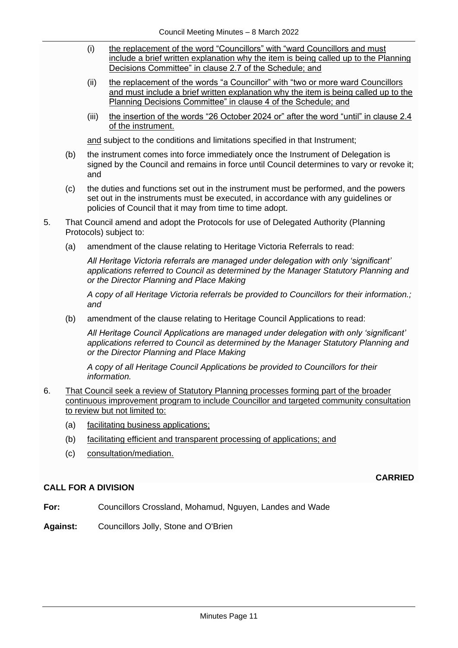- (i) the replacement of the word "Councillors" with "ward Councillors and must include a brief written explanation why the item is being called up to the Planning Decisions Committee" in clause 2.7 of the Schedule; and
- (ii) the replacement of the words "a Councillor" with "two or more ward Councillors and must include a brief written explanation why the item is being called up to the Planning Decisions Committee" in clause 4 of the Schedule; and
- (iii) the insertion of the words "26 October 2024 or" after the word "until" in clause 2.4 of the instrument.

and subject to the conditions and limitations specified in that Instrument;

- (b) the instrument comes into force immediately once the Instrument of Delegation is signed by the Council and remains in force until Council determines to vary or revoke it; and
- (c) the duties and functions set out in the instrument must be performed, and the powers set out in the instruments must be executed, in accordance with any guidelines or policies of Council that it may from time to time adopt.
- 5. That Council amend and adopt the Protocols for use of Delegated Authority (Planning Protocols) subject to:
	- (a) amendment of the clause relating to Heritage Victoria Referrals to read:

*All Heritage Victoria referrals are managed under delegation with only 'significant' applications referred to Council as determined by the Manager Statutory Planning and or the Director Planning and Place Making*

*A copy of all Heritage Victoria referrals be provided to Councillors for their information.; and*

(b) amendment of the clause relating to Heritage Council Applications to read:

*All Heritage Council Applications are managed under delegation with only 'significant' applications referred to Council as determined by the Manager Statutory Planning and or the Director Planning and Place Making*

*A copy of all Heritage Council Applications be provided to Councillors for their information.*

- 6. That Council seek a review of Statutory Planning processes forming part of the broader continuous improvement program to include Councillor and targeted community consultation to review but not limited to:
	- (a) facilitating business applications;
	- (b) facilitating efficient and transparent processing of applications; and
	- (c) consultation/mediation.

#### **CALL FOR A DIVISION**

**CARRIED**

- **For:** Councillors Crossland, Mohamud, Nguyen, Landes and Wade
- **Against:** Councillors Jolly, Stone and O'Brien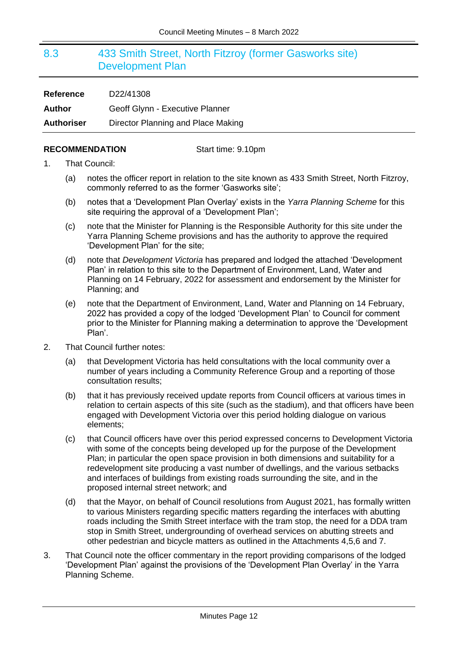## <span id="page-11-0"></span>8.3 433 Smith Street, North Fitzroy (former Gasworks site) Development Plan

| <b>Reference</b>  | D22/41308                          |
|-------------------|------------------------------------|
| <b>Author</b>     | Geoff Glynn - Executive Planner    |
| <b>Authoriser</b> | Director Planning and Place Making |

#### **RECOMMENDATION** Start time: 9.10pm

- 1. That Council:
	- (a) notes the officer report in relation to the site known as 433 Smith Street, North Fitzroy, commonly referred to as the former 'Gasworks site';
	- (b) notes that a 'Development Plan Overlay' exists in the *Yarra Planning Scheme* for this site requiring the approval of a 'Development Plan';
	- (c) note that the Minister for Planning is the Responsible Authority for this site under the Yarra Planning Scheme provisions and has the authority to approve the required 'Development Plan' for the site;
	- (d) note that *Development Victoria* has prepared and lodged the attached 'Development Plan' in relation to this site to the Department of Environment, Land, Water and Planning on 14 February, 2022 for assessment and endorsement by the Minister for Planning; and
	- (e) note that the Department of Environment, Land, Water and Planning on 14 February, 2022 has provided a copy of the lodged 'Development Plan' to Council for comment prior to the Minister for Planning making a determination to approve the 'Development Plan'.
- 2. That Council further notes:
	- (a) that Development Victoria has held consultations with the local community over a number of years including a Community Reference Group and a reporting of those consultation results;
	- (b) that it has previously received update reports from Council officers at various times in relation to certain aspects of this site (such as the stadium), and that officers have been engaged with Development Victoria over this period holding dialogue on various elements;
	- (c) that Council officers have over this period expressed concerns to Development Victoria with some of the concepts being developed up for the purpose of the Development Plan; in particular the open space provision in both dimensions and suitability for a redevelopment site producing a vast number of dwellings, and the various setbacks and interfaces of buildings from existing roads surrounding the site, and in the proposed internal street network; and
	- (d) that the Mayor, on behalf of Council resolutions from August 2021, has formally written to various Ministers regarding specific matters regarding the interfaces with abutting roads including the Smith Street interface with the tram stop, the need for a DDA tram stop in Smith Street, undergrounding of overhead services on abutting streets and other pedestrian and bicycle matters as outlined in the Attachments 4,5,6 and 7.
- 3. That Council note the officer commentary in the report providing comparisons of the lodged 'Development Plan' against the provisions of the 'Development Plan Overlay' in the Yarra Planning Scheme.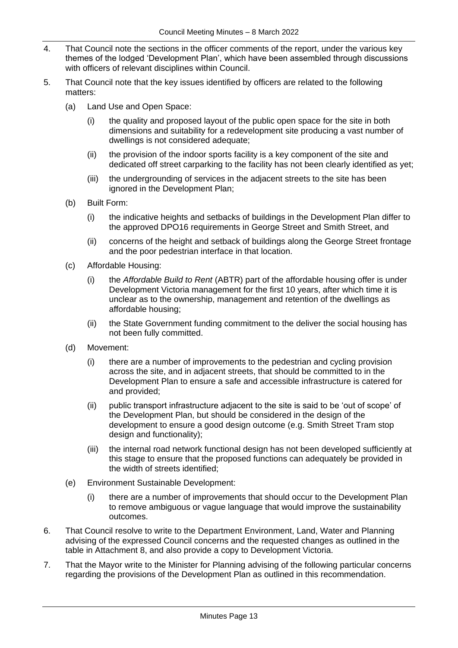- 4. That Council note the sections in the officer comments of the report, under the various key themes of the lodged 'Development Plan', which have been assembled through discussions with officers of relevant disciplines within Council.
- 5. That Council note that the key issues identified by officers are related to the following matters:
	- (a) Land Use and Open Space:
		- (i) the quality and proposed layout of the public open space for the site in both dimensions and suitability for a redevelopment site producing a vast number of dwellings is not considered adequate;
		- (ii) the provision of the indoor sports facility is a key component of the site and dedicated off street carparking to the facility has not been clearly identified as yet;
		- (iii) the undergrounding of services in the adjacent streets to the site has been ignored in the Development Plan;
	- (b) Built Form:
		- (i) the indicative heights and setbacks of buildings in the Development Plan differ to the approved DPO16 requirements in George Street and Smith Street, and
		- (ii) concerns of the height and setback of buildings along the George Street frontage and the poor pedestrian interface in that location.
	- (c) Affordable Housing:
		- (i) the *Affordable Build to Rent* (ABTR) part of the affordable housing offer is under Development Victoria management for the first 10 years, after which time it is unclear as to the ownership, management and retention of the dwellings as affordable housing;
		- (ii) the State Government funding commitment to the deliver the social housing has not been fully committed.
	- (d) Movement:
		- (i) there are a number of improvements to the pedestrian and cycling provision across the site, and in adjacent streets, that should be committed to in the Development Plan to ensure a safe and accessible infrastructure is catered for and provided;
		- (ii) public transport infrastructure adjacent to the site is said to be 'out of scope' of the Development Plan, but should be considered in the design of the development to ensure a good design outcome (e.g. Smith Street Tram stop design and functionality);
		- (iii) the internal road network functional design has not been developed sufficiently at this stage to ensure that the proposed functions can adequately be provided in the width of streets identified;
	- (e) Environment Sustainable Development:
		- (i) there are a number of improvements that should occur to the Development Plan to remove ambiguous or vague language that would improve the sustainability outcomes.
- 6. That Council resolve to write to the Department Environment, Land, Water and Planning advising of the expressed Council concerns and the requested changes as outlined in the table in Attachment 8, and also provide a copy to Development Victoria.
- 7. That the Mayor write to the Minister for Planning advising of the following particular concerns regarding the provisions of the Development Plan as outlined in this recommendation.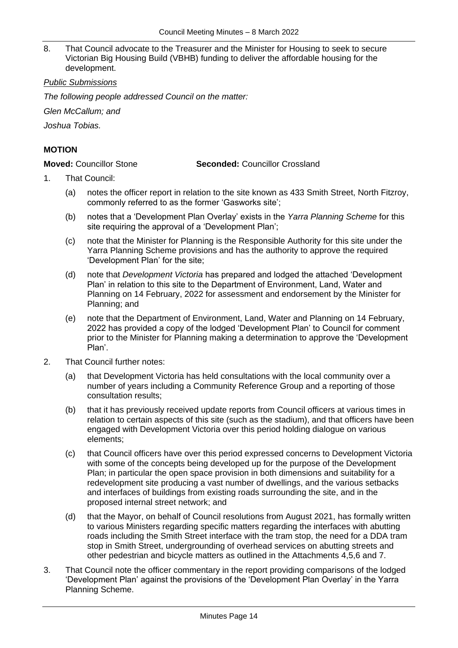8. That Council advocate to the Treasurer and the Minister for Housing to seek to secure Victorian Big Housing Build (VBHB) funding to deliver the affordable housing for the development.

#### *Public Submissions*

*The following people addressed Council on the matter:*

*Glen McCallum; and*

*Joshua Tobias.*

### **MOTION**

**Moved:** Councillor Stone **Seconded:** Councillor Crossland

- 1. That Council:
	- (a) notes the officer report in relation to the site known as 433 Smith Street, North Fitzroy, commonly referred to as the former 'Gasworks site';
	- (b) notes that a 'Development Plan Overlay' exists in the *Yarra Planning Scheme* for this site requiring the approval of a 'Development Plan';
	- (c) note that the Minister for Planning is the Responsible Authority for this site under the Yarra Planning Scheme provisions and has the authority to approve the required 'Development Plan' for the site;
	- (d) note that *Development Victoria* has prepared and lodged the attached 'Development Plan' in relation to this site to the Department of Environment, Land, Water and Planning on 14 February, 2022 for assessment and endorsement by the Minister for Planning; and
	- (e) note that the Department of Environment, Land, Water and Planning on 14 February, 2022 has provided a copy of the lodged 'Development Plan' to Council for comment prior to the Minister for Planning making a determination to approve the 'Development Plan'.
- 2. That Council further notes:
	- (a) that Development Victoria has held consultations with the local community over a number of years including a Community Reference Group and a reporting of those consultation results;
	- (b) that it has previously received update reports from Council officers at various times in relation to certain aspects of this site (such as the stadium), and that officers have been engaged with Development Victoria over this period holding dialogue on various elements;
	- (c) that Council officers have over this period expressed concerns to Development Victoria with some of the concepts being developed up for the purpose of the Development Plan; in particular the open space provision in both dimensions and suitability for a redevelopment site producing a vast number of dwellings, and the various setbacks and interfaces of buildings from existing roads surrounding the site, and in the proposed internal street network; and
	- (d) that the Mayor, on behalf of Council resolutions from August 2021, has formally written to various Ministers regarding specific matters regarding the interfaces with abutting roads including the Smith Street interface with the tram stop, the need for a DDA tram stop in Smith Street, undergrounding of overhead services on abutting streets and other pedestrian and bicycle matters as outlined in the Attachments 4,5,6 and 7.
- 3. That Council note the officer commentary in the report providing comparisons of the lodged 'Development Plan' against the provisions of the 'Development Plan Overlay' in the Yarra Planning Scheme.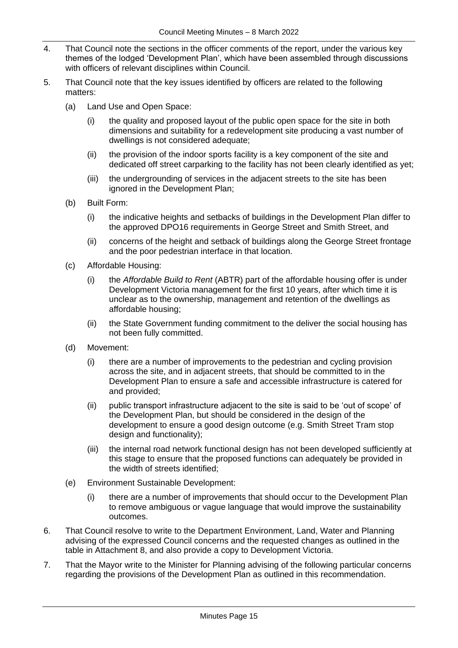- 4. That Council note the sections in the officer comments of the report, under the various key themes of the lodged 'Development Plan', which have been assembled through discussions with officers of relevant disciplines within Council.
- 5. That Council note that the key issues identified by officers are related to the following matters:
	- (a) Land Use and Open Space:
		- (i) the quality and proposed layout of the public open space for the site in both dimensions and suitability for a redevelopment site producing a vast number of dwellings is not considered adequate;
		- (ii) the provision of the indoor sports facility is a key component of the site and dedicated off street carparking to the facility has not been clearly identified as yet;
		- (iii) the undergrounding of services in the adjacent streets to the site has been ignored in the Development Plan;
	- (b) Built Form:
		- (i) the indicative heights and setbacks of buildings in the Development Plan differ to the approved DPO16 requirements in George Street and Smith Street, and
		- (ii) concerns of the height and setback of buildings along the George Street frontage and the poor pedestrian interface in that location.
	- (c) Affordable Housing:
		- (i) the *Affordable Build to Rent* (ABTR) part of the affordable housing offer is under Development Victoria management for the first 10 years, after which time it is unclear as to the ownership, management and retention of the dwellings as affordable housing;
		- (ii) the State Government funding commitment to the deliver the social housing has not been fully committed.
	- (d) Movement:
		- (i) there are a number of improvements to the pedestrian and cycling provision across the site, and in adjacent streets, that should be committed to in the Development Plan to ensure a safe and accessible infrastructure is catered for and provided;
		- (ii) public transport infrastructure adjacent to the site is said to be 'out of scope' of the Development Plan, but should be considered in the design of the development to ensure a good design outcome (e.g. Smith Street Tram stop design and functionality);
		- (iii) the internal road network functional design has not been developed sufficiently at this stage to ensure that the proposed functions can adequately be provided in the width of streets identified;
	- (e) Environment Sustainable Development:
		- (i) there are a number of improvements that should occur to the Development Plan to remove ambiguous or vague language that would improve the sustainability outcomes.
- 6. That Council resolve to write to the Department Environment, Land, Water and Planning advising of the expressed Council concerns and the requested changes as outlined in the table in Attachment 8, and also provide a copy to Development Victoria.
- 7. That the Mayor write to the Minister for Planning advising of the following particular concerns regarding the provisions of the Development Plan as outlined in this recommendation.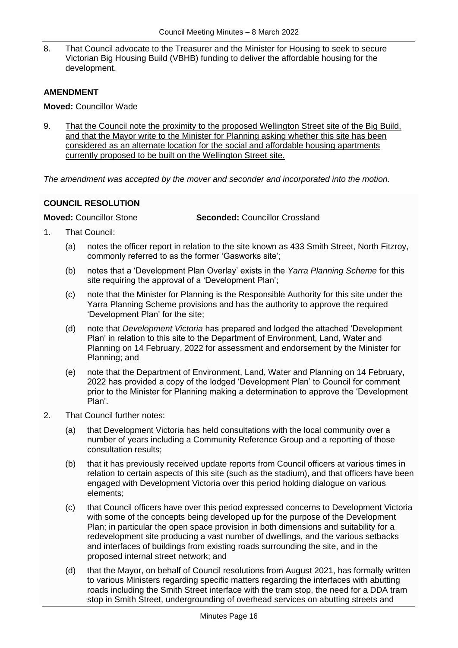8. That Council advocate to the Treasurer and the Minister for Housing to seek to secure Victorian Big Housing Build (VBHB) funding to deliver the affordable housing for the development.

### **AMENDMENT**

**Moved:** Councillor Wade

9. That the Council note the proximity to the proposed Wellington Street site of the Big Build, and that the Mayor write to the Minister for Planning asking whether this site has been considered as an alternate location for the social and affordable housing apartments currently proposed to be built on the Wellington Street site.

*The amendment was accepted by the mover and seconder and incorporated into the motion.*

### <span id="page-15-0"></span>**COUNCIL RESOLUTION**

**Moved:** Councillor Stone **Seconded:** Councillor Crossland

- 1. That Council:
	- (a) notes the officer report in relation to the site known as 433 Smith Street, North Fitzroy, commonly referred to as the former 'Gasworks site';
	- (b) notes that a 'Development Plan Overlay' exists in the *Yarra Planning Scheme* for this site requiring the approval of a 'Development Plan';
	- (c) note that the Minister for Planning is the Responsible Authority for this site under the Yarra Planning Scheme provisions and has the authority to approve the required 'Development Plan' for the site;
	- (d) note that *Development Victoria* has prepared and lodged the attached 'Development Plan' in relation to this site to the Department of Environment, Land, Water and Planning on 14 February, 2022 for assessment and endorsement by the Minister for Planning; and
	- (e) note that the Department of Environment, Land, Water and Planning on 14 February, 2022 has provided a copy of the lodged 'Development Plan' to Council for comment prior to the Minister for Planning making a determination to approve the 'Development Plan'.
- 2. That Council further notes:
	- (a) that Development Victoria has held consultations with the local community over a number of years including a Community Reference Group and a reporting of those consultation results;
	- (b) that it has previously received update reports from Council officers at various times in relation to certain aspects of this site (such as the stadium), and that officers have been engaged with Development Victoria over this period holding dialogue on various elements;
	- (c) that Council officers have over this period expressed concerns to Development Victoria with some of the concepts being developed up for the purpose of the Development Plan; in particular the open space provision in both dimensions and suitability for a redevelopment site producing a vast number of dwellings, and the various setbacks and interfaces of buildings from existing roads surrounding the site, and in the proposed internal street network; and
	- (d) that the Mayor, on behalf of Council resolutions from August 2021, has formally written to various Ministers regarding specific matters regarding the interfaces with abutting roads including the Smith Street interface with the tram stop, the need for a DDA tram stop in Smith Street, undergrounding of overhead services on abutting streets and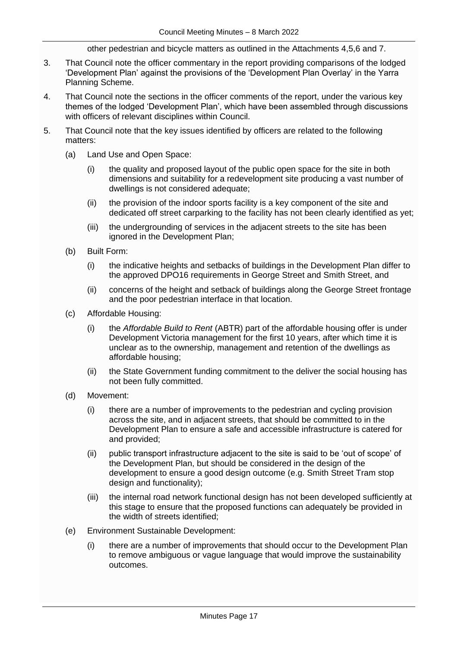other pedestrian and bicycle matters as outlined in the Attachments 4,5,6 and 7.

- 3. That Council note the officer commentary in the report providing comparisons of the lodged 'Development Plan' against the provisions of the 'Development Plan Overlay' in the Yarra Planning Scheme.
- 4. That Council note the sections in the officer comments of the report, under the various key themes of the lodged 'Development Plan', which have been assembled through discussions with officers of relevant disciplines within Council.
- 5. That Council note that the key issues identified by officers are related to the following matters:
	- (a) Land Use and Open Space:
		- (i) the quality and proposed layout of the public open space for the site in both dimensions and suitability for a redevelopment site producing a vast number of dwellings is not considered adequate;
		- (ii) the provision of the indoor sports facility is a key component of the site and dedicated off street carparking to the facility has not been clearly identified as yet;
		- (iii) the undergrounding of services in the adjacent streets to the site has been ignored in the Development Plan;
	- (b) Built Form:
		- (i) the indicative heights and setbacks of buildings in the Development Plan differ to the approved DPO16 requirements in George Street and Smith Street, and
		- (ii) concerns of the height and setback of buildings along the George Street frontage and the poor pedestrian interface in that location.
	- (c) Affordable Housing:
		- (i) the *Affordable Build to Rent* (ABTR) part of the affordable housing offer is under Development Victoria management for the first 10 years, after which time it is unclear as to the ownership, management and retention of the dwellings as affordable housing;
		- (ii) the State Government funding commitment to the deliver the social housing has not been fully committed.
	- (d) Movement:
		- (i) there are a number of improvements to the pedestrian and cycling provision across the site, and in adjacent streets, that should be committed to in the Development Plan to ensure a safe and accessible infrastructure is catered for and provided;
		- (ii) public transport infrastructure adjacent to the site is said to be 'out of scope' of the Development Plan, but should be considered in the design of the development to ensure a good design outcome (e.g. Smith Street Tram stop design and functionality);
		- (iii) the internal road network functional design has not been developed sufficiently at this stage to ensure that the proposed functions can adequately be provided in the width of streets identified;
	- (e) Environment Sustainable Development:
		- (i) there are a number of improvements that should occur to the Development Plan to remove ambiguous or vague language that would improve the sustainability outcomes.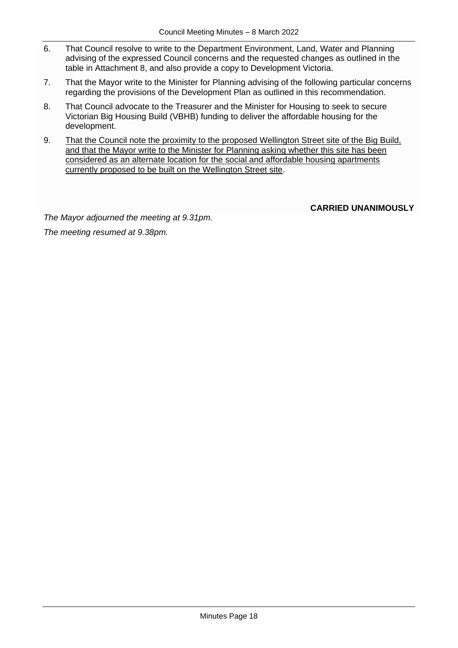- 6. That Council resolve to write to the Department Environment, Land, Water and Planning advising of the expressed Council concerns and the requested changes as outlined in the table in Attachment 8, and also provide a copy to Development Victoria.
- 7. That the Mayor write to the Minister for Planning advising of the following particular concerns regarding the provisions of the Development Plan as outlined in this recommendation.
- 8. That Council advocate to the Treasurer and the Minister for Housing to seek to secure Victorian Big Housing Build (VBHB) funding to deliver the affordable housing for the development.
- 9. That the Council note the proximity to the proposed Wellington Street site of the Big Build, and that the Mayor write to the Minister for Planning asking whether this site has been considered as an alternate location for the social and affordable housing apartments currently proposed to be built on the Wellington Street site.

**CARRIED UNANIMOUSLY**

*The Mayor adjourned the meeting at 9.31pm. The meeting resumed at 9.38pm.*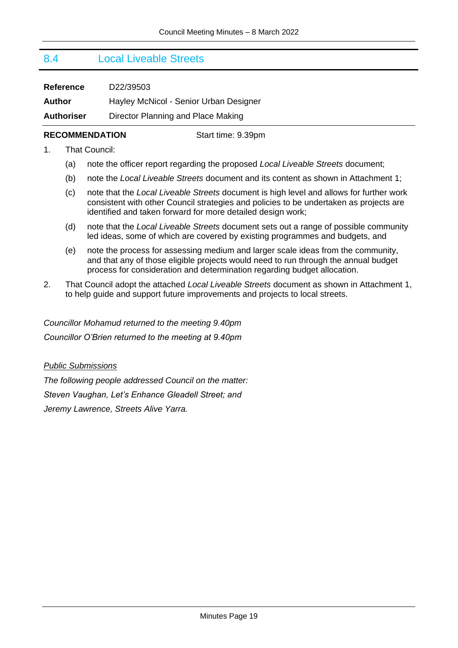## <span id="page-18-0"></span>8.4 Local Liveable Streets

| <b>Reference</b>  | D22/39503                              |
|-------------------|----------------------------------------|
| Author            | Hayley McNicol - Senior Urban Designer |
| <b>Authoriser</b> | Director Planning and Place Making     |

#### **RECOMMENDATION** Start time: 9.39pm

- 1. That Council:
	- (a) note the officer report regarding the proposed *Local Liveable Streets* document;
	- (b) note the *Local Liveable Streets* document and its content as shown in Attachment 1;
	- (c) note that the *Local Liveable Streets* document is high level and allows for further work consistent with other Council strategies and policies to be undertaken as projects are identified and taken forward for more detailed design work;
	- (d) note that the *Local Liveable Streets* document sets out a range of possible community led ideas, some of which are covered by existing programmes and budgets, and
	- (e) note the process for assessing medium and larger scale ideas from the community, and that any of those eligible projects would need to run through the annual budget process for consideration and determination regarding budget allocation.
- 2. That Council adopt the attached *Local Liveable Streets* document as shown in Attachment 1, to help guide and support future improvements and projects to local streets.

*Councillor Mohamud returned to the meeting 9.40pm Councillor O'Brien returned to the meeting at 9.40pm*

#### *Public Submissions*

*The following people addressed Council on the matter: Steven Vaughan, Let's Enhance Gleadell Street; and Jeremy Lawrence, Streets Alive Yarra.*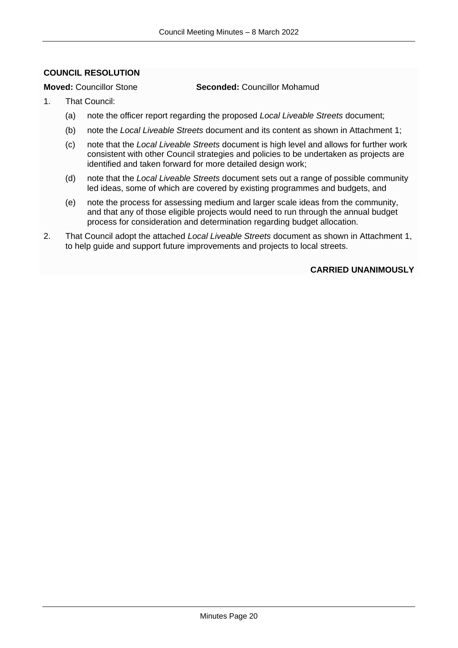### <span id="page-19-0"></span>**COUNCIL RESOLUTION**

**Moved:** Councillor Stone **Seconded:** Councillor Mohamud

- 1. That Council:
	- (a) note the officer report regarding the proposed *Local Liveable Streets* document;
	- (b) note the *Local Liveable Streets* document and its content as shown in Attachment 1;
	- (c) note that the *Local Liveable Streets* document is high level and allows for further work consistent with other Council strategies and policies to be undertaken as projects are identified and taken forward for more detailed design work;
	- (d) note that the *Local Liveable Streets* document sets out a range of possible community led ideas, some of which are covered by existing programmes and budgets, and
	- (e) note the process for assessing medium and larger scale ideas from the community, and that any of those eligible projects would need to run through the annual budget process for consideration and determination regarding budget allocation.
- 2. That Council adopt the attached *Local Liveable Streets* document as shown in Attachment 1, to help guide and support future improvements and projects to local streets.

#### **CARRIED UNANIMOUSLY**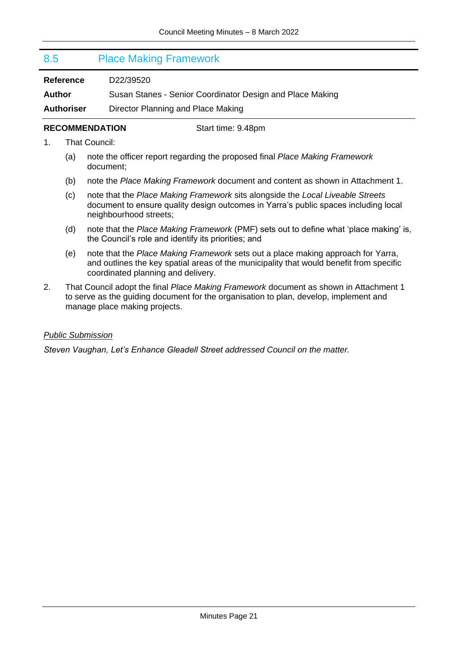### <span id="page-20-0"></span>8.5 Place Making Framework

**Reference** D22/39520

**Author** Susan Stanes - Senior Coordinator Design and Place Making

**Authoriser** Director Planning and Place Making

#### **RECOMMENDATION** Start time: 9.48pm

- 1. That Council:
	- (a) note the officer report regarding the proposed final *Place Making Framework* document;
	- (b) note the *Place Making Framework* document and content as shown in Attachment 1.
	- (c) note that the *Place Making Framework* sits alongside the *Local Liveable Streets* document to ensure quality design outcomes in Yarra's public spaces including local neighbourhood streets;
	- (d) note that the *Place Making Framework* (PMF) sets out to define what 'place making' is, the Council's role and identify its priorities; and
	- (e) note that the *Place Making Framework* sets out a place making approach for Yarra, and outlines the key spatial areas of the municipality that would benefit from specific coordinated planning and delivery.
- 2. That Council adopt the final *Place Making Framework* document as shown in Attachment 1 to serve as the guiding document for the organisation to plan, develop, implement and manage place making projects.

#### *Public Submission*

*Steven Vaughan, Let's Enhance Gleadell Street addressed Council on the matter.*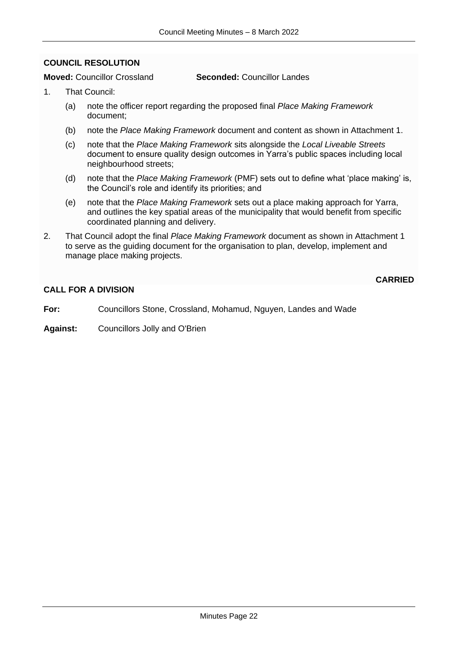#### <span id="page-21-0"></span>**COUNCIL RESOLUTION**

#### **Moved:** Councillor Crossland **Seconded:** Councillor Landes

- 1. That Council:
	- (a) note the officer report regarding the proposed final *Place Making Framework* document;
	- (b) note the *Place Making Framework* document and content as shown in Attachment 1.
	- (c) note that the *Place Making Framework* sits alongside the *Local Liveable Streets* document to ensure quality design outcomes in Yarra's public spaces including local neighbourhood streets;
	- (d) note that the *Place Making Framework* (PMF) sets out to define what 'place making' is, the Council's role and identify its priorities; and
	- (e) note that the *Place Making Framework* sets out a place making approach for Yarra, and outlines the key spatial areas of the municipality that would benefit from specific coordinated planning and delivery.

**CARRIED**

2. That Council adopt the final *Place Making Framework* document as shown in Attachment 1 to serve as the guiding document for the organisation to plan, develop, implement and manage place making projects.

#### **CALL FOR A DIVISION**

**For:** Councillors Stone, Crossland, Mohamud, Nguyen, Landes and Wade

**Against:** Councillors Jolly and O'Brien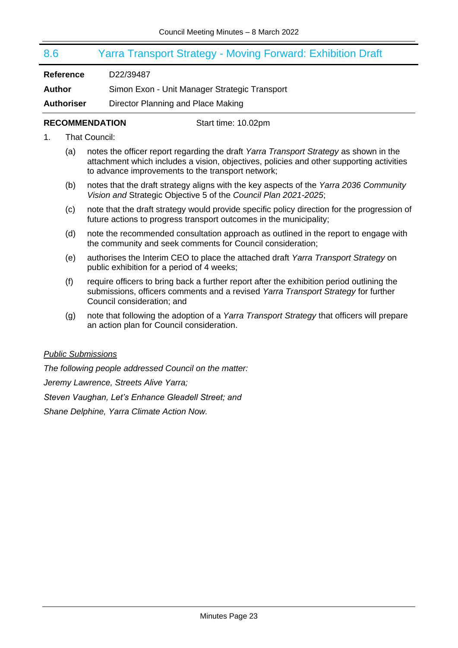## <span id="page-22-0"></span>8.6 Yarra Transport Strategy - Moving Forward: Exhibition Draft

**Reference** D22/39487

**Author** Simon Exon - Unit Manager Strategic Transport

**Authoriser** Director Planning and Place Making

#### **RECOMMENDATION** Start time: 10.02pm

- 1. That Council:
	- (a) notes the officer report regarding the draft *Yarra Transport Strategy* as shown in the attachment which includes a vision, objectives, policies and other supporting activities to advance improvements to the transport network;
	- (b) notes that the draft strategy aligns with the key aspects of the *Yarra 2036 Community Vision and* Strategic Objective 5 of the *Council Plan 2021-2025*;
	- (c) note that the draft strategy would provide specific policy direction for the progression of future actions to progress transport outcomes in the municipality;
	- (d) note the recommended consultation approach as outlined in the report to engage with the community and seek comments for Council consideration;
	- (e) authorises the Interim CEO to place the attached draft *Yarra Transport Strategy* on public exhibition for a period of 4 weeks;
	- (f) require officers to bring back a further report after the exhibition period outlining the submissions, officers comments and a revised *Yarra Transport Strategy* for further Council consideration; and
	- (g) note that following the adoption of a *Yarra Transport Strategy* that officers will prepare an action plan for Council consideration.

#### *Public Submissions*

*The following people addressed Council on the matter: Jeremy Lawrence, Streets Alive Yarra; Steven Vaughan, Let's Enhance Gleadell Street; and Shane Delphine, Yarra Climate Action Now.*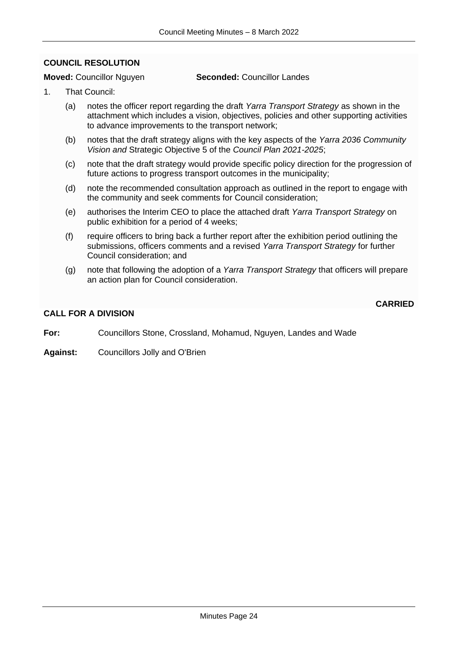#### <span id="page-23-0"></span>**COUNCIL RESOLUTION**

#### **Moved:** Councillor Nguyen **Seconded:** Councillor Landes

- 1. That Council:
	- (a) notes the officer report regarding the draft *Yarra Transport Strategy* as shown in the attachment which includes a vision, objectives, policies and other supporting activities to advance improvements to the transport network;
	- (b) notes that the draft strategy aligns with the key aspects of the *Yarra 2036 Community Vision and* Strategic Objective 5 of the *Council Plan 2021-2025*;
	- (c) note that the draft strategy would provide specific policy direction for the progression of future actions to progress transport outcomes in the municipality;
	- (d) note the recommended consultation approach as outlined in the report to engage with the community and seek comments for Council consideration;
	- (e) authorises the Interim CEO to place the attached draft *Yarra Transport Strategy* on public exhibition for a period of 4 weeks;
	- (f) require officers to bring back a further report after the exhibition period outlining the submissions, officers comments and a revised *Yarra Transport Strategy* for further Council consideration; and
	- (g) note that following the adoption of a *Yarra Transport Strategy* that officers will prepare an action plan for Council consideration.

#### **CARRIED**

#### **CALL FOR A DIVISION**

- **For:** Councillors Stone, Crossland, Mohamud, Nguyen, Landes and Wade
- **Against:** Councillors Jolly and O'Brien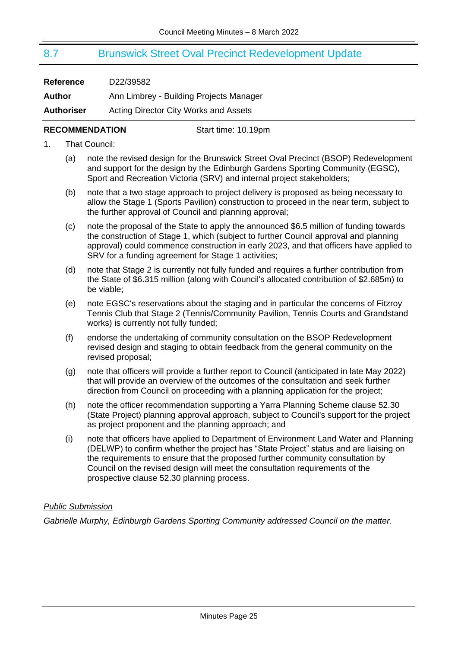## <span id="page-24-0"></span>8.7 Brunswick Street Oval Precinct Redevelopment Update

| <b>Reference</b>  | D22/39582                                    |
|-------------------|----------------------------------------------|
| Author            | Ann Limbrey - Building Projects Manager      |
| <b>Authoriser</b> | <b>Acting Director City Works and Assets</b> |

#### **RECOMMENDATION** Start time: 10.19pm

- 1. That Council:
	- (a) note the revised design for the Brunswick Street Oval Precinct (BSOP) Redevelopment and support for the design by the Edinburgh Gardens Sporting Community (EGSC), Sport and Recreation Victoria (SRV) and internal project stakeholders;
	- (b) note that a two stage approach to project delivery is proposed as being necessary to allow the Stage 1 (Sports Pavilion) construction to proceed in the near term, subject to the further approval of Council and planning approval;
	- (c) note the proposal of the State to apply the announced \$6.5 million of funding towards the construction of Stage 1, which (subject to further Council approval and planning approval) could commence construction in early 2023, and that officers have applied to SRV for a funding agreement for Stage 1 activities;
	- (d) note that Stage 2 is currently not fully funded and requires a further contribution from the State of \$6.315 million (along with Council's allocated contribution of \$2.685m) to be viable;
	- (e) note EGSC's reservations about the staging and in particular the concerns of Fitzroy Tennis Club that Stage 2 (Tennis/Community Pavilion, Tennis Courts and Grandstand works) is currently not fully funded;
	- (f) endorse the undertaking of community consultation on the BSOP Redevelopment revised design and staging to obtain feedback from the general community on the revised proposal;
	- (g) note that officers will provide a further report to Council (anticipated in late May 2022) that will provide an overview of the outcomes of the consultation and seek further direction from Council on proceeding with a planning application for the project;
	- (h) note the officer recommendation supporting a Yarra Planning Scheme clause 52.30 (State Project) planning approval approach, subject to Council's support for the project as project proponent and the planning approach; and
	- (i) note that officers have applied to Department of Environment Land Water and Planning (DELWP) to confirm whether the project has "State Project" status and are liaising on the requirements to ensure that the proposed further community consultation by Council on the revised design will meet the consultation requirements of the prospective clause 52.30 planning process.

#### *Public Submission*

*Gabrielle Murphy, Edinburgh Gardens Sporting Community addressed Council on the matter.*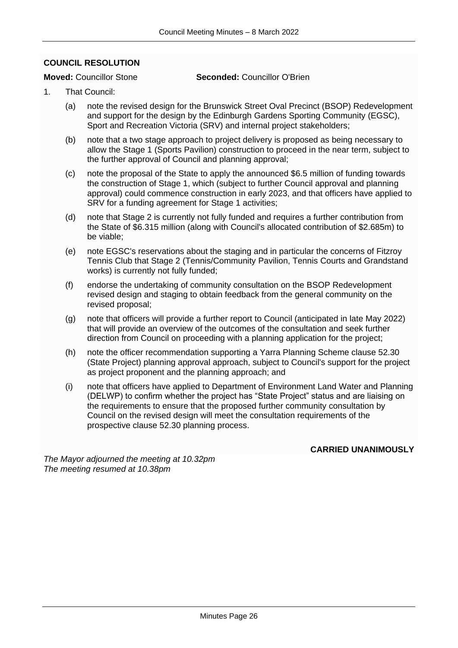#### <span id="page-25-0"></span>**COUNCIL RESOLUTION**

**Moved:** Councillor Stone **Seconded:** Councillor O'Brien

- 1. That Council:
	- (a) note the revised design for the Brunswick Street Oval Precinct (BSOP) Redevelopment and support for the design by the Edinburgh Gardens Sporting Community (EGSC), Sport and Recreation Victoria (SRV) and internal project stakeholders;
	- (b) note that a two stage approach to project delivery is proposed as being necessary to allow the Stage 1 (Sports Pavilion) construction to proceed in the near term, subject to the further approval of Council and planning approval;
	- (c) note the proposal of the State to apply the announced \$6.5 million of funding towards the construction of Stage 1, which (subject to further Council approval and planning approval) could commence construction in early 2023, and that officers have applied to SRV for a funding agreement for Stage 1 activities;
	- (d) note that Stage 2 is currently not fully funded and requires a further contribution from the State of \$6.315 million (along with Council's allocated contribution of \$2.685m) to be viable;
	- (e) note EGSC's reservations about the staging and in particular the concerns of Fitzroy Tennis Club that Stage 2 (Tennis/Community Pavilion, Tennis Courts and Grandstand works) is currently not fully funded;
	- (f) endorse the undertaking of community consultation on the BSOP Redevelopment revised design and staging to obtain feedback from the general community on the revised proposal;
	- (g) note that officers will provide a further report to Council (anticipated in late May 2022) that will provide an overview of the outcomes of the consultation and seek further direction from Council on proceeding with a planning application for the project;
	- (h) note the officer recommendation supporting a Yarra Planning Scheme clause 52.30 (State Project) planning approval approach, subject to Council's support for the project as project proponent and the planning approach; and
	- (i) note that officers have applied to Department of Environment Land Water and Planning (DELWP) to confirm whether the project has "State Project" status and are liaising on the requirements to ensure that the proposed further community consultation by Council on the revised design will meet the consultation requirements of the prospective clause 52.30 planning process.

**CARRIED UNANIMOUSLY**

*The Mayor adjourned the meeting at 10.32pm The meeting resumed at 10.38pm*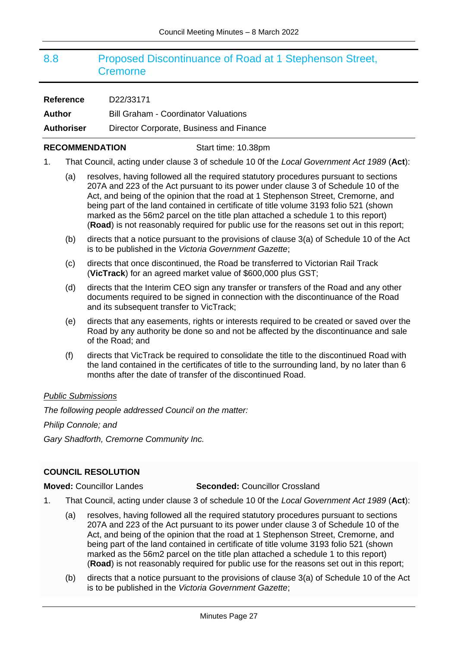## <span id="page-26-0"></span>8.8 Proposed Discontinuance of Road at 1 Stephenson Street, **Cremorne**

| <b>Reference</b>  | D22/33171                                   |
|-------------------|---------------------------------------------|
| Author            | <b>Bill Graham - Coordinator Valuations</b> |
| <b>Authoriser</b> | Director Corporate, Business and Finance    |

#### **RECOMMENDATION** Start time: 10.38pm

- 1. That Council, acting under clause 3 of schedule 10 0f the *Local Government Act 1989* (**Act**):
	- (a) resolves, having followed all the required statutory procedures pursuant to sections 207A and 223 of the Act pursuant to its power under clause 3 of Schedule 10 of the Act, and being of the opinion that the road at 1 Stephenson Street, Cremorne, and being part of the land contained in certificate of title volume 3193 folio 521 (shown marked as the 56m2 parcel on the title plan attached a schedule 1 to this report) (**Road**) is not reasonably required for public use for the reasons set out in this report;
	- (b) directs that a notice pursuant to the provisions of clause 3(a) of Schedule 10 of the Act is to be published in the *Victoria Government Gazette*;
	- (c) directs that once discontinued, the Road be transferred to Victorian Rail Track (**VicTrack**) for an agreed market value of \$600,000 plus GST;
	- (d) directs that the Interim CEO sign any transfer or transfers of the Road and any other documents required to be signed in connection with the discontinuance of the Road and its subsequent transfer to VicTrack;
	- (e) directs that any easements, rights or interests required to be created or saved over the Road by any authority be done so and not be affected by the discontinuance and sale of the Road; and
	- (f) directs that VicTrack be required to consolidate the title to the discontinued Road with the land contained in the certificates of title to the surrounding land, by no later than 6 months after the date of transfer of the discontinued Road.

#### *Public Submissions*

*The following people addressed Council on the matter:*

*Philip Connole; and*

*Gary Shadforth, Cremorne Community Inc.*

#### <span id="page-26-1"></span>**COUNCIL RESOLUTION**

**Moved:** Councillor Landes **Seconded:** Councillor Crossland

- 1. That Council, acting under clause 3 of schedule 10 0f the *Local Government Act 1989* (**Act**):
	- (a) resolves, having followed all the required statutory procedures pursuant to sections 207A and 223 of the Act pursuant to its power under clause 3 of Schedule 10 of the Act, and being of the opinion that the road at 1 Stephenson Street, Cremorne, and being part of the land contained in certificate of title volume 3193 folio 521 (shown marked as the 56m2 parcel on the title plan attached a schedule 1 to this report) (**Road**) is not reasonably required for public use for the reasons set out in this report;
	- (b) directs that a notice pursuant to the provisions of clause 3(a) of Schedule 10 of the Act is to be published in the *Victoria Government Gazette*;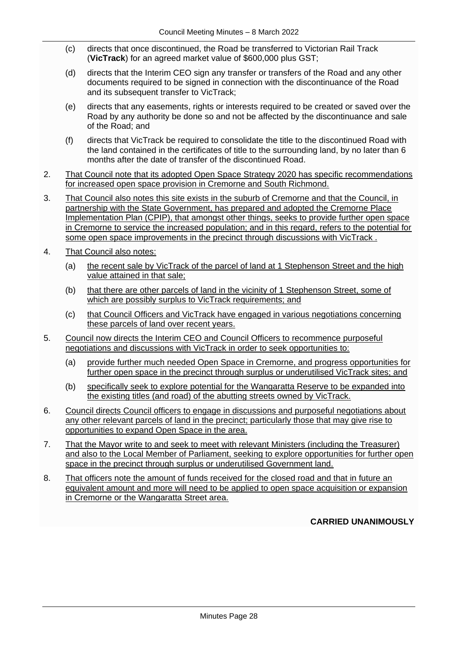- (c) directs that once discontinued, the Road be transferred to Victorian Rail Track (**VicTrack**) for an agreed market value of \$600,000 plus GST;
- (d) directs that the Interim CEO sign any transfer or transfers of the Road and any other documents required to be signed in connection with the discontinuance of the Road and its subsequent transfer to VicTrack;
- (e) directs that any easements, rights or interests required to be created or saved over the Road by any authority be done so and not be affected by the discontinuance and sale of the Road; and
- (f) directs that VicTrack be required to consolidate the title to the discontinued Road with the land contained in the certificates of title to the surrounding land, by no later than 6 months after the date of transfer of the discontinued Road.
- 2. That Council note that its adopted Open Space Strategy 2020 has specific recommendations for increased open space provision in Cremorne and South Richmond.
- 3. That Council also notes this site exists in the suburb of Cremorne and that the Council, in partnership with the State Government, has prepared and adopted the Cremorne Place Implementation Plan (CPIP), that amongst other things, seeks to provide further open space in Cremorne to service the increased population; and in this regard, refers to the potential for some open space improvements in the precinct through discussions with VicTrack .
- 4. That Council also notes:
	- (a) the recent sale by VicTrack of the parcel of land at 1 Stephenson Street and the high value attained in that sale;
	- (b) that there are other parcels of land in the vicinity of 1 Stephenson Street, some of which are possibly surplus to VicTrack requirements; and
	- (c) that Council Officers and VicTrack have engaged in various negotiations concerning these parcels of land over recent years.
- 5. Council now directs the Interim CEO and Council Officers to recommence purposeful negotiations and discussions with VicTrack in order to seek opportunities to:
	- (a) provide further much needed Open Space in Cremorne, and progress opportunities for further open space in the precinct through surplus or underutilised VicTrack sites; and
	- (b) specifically seek to explore potential for the Wangaratta Reserve to be expanded into the existing titles (and road) of the abutting streets owned by VicTrack.
- 6. Council directs Council officers to engage in discussions and purposeful negotiations about any other relevant parcels of land in the precinct; particularly those that may give rise to opportunities to expand Open Space in the area.
- 7. That the Mayor write to and seek to meet with relevant Ministers (including the Treasurer) and also to the Local Member of Parliament, seeking to explore opportunities for further open space in the precinct through surplus or underutilised Government land.
- 8. That officers note the amount of funds received for the closed road and that in future an equivalent amount and more will need to be applied to open space acquisition or expansion in Cremorne or the Wangaratta Street area.

#### **CARRIED UNANIMOUSLY**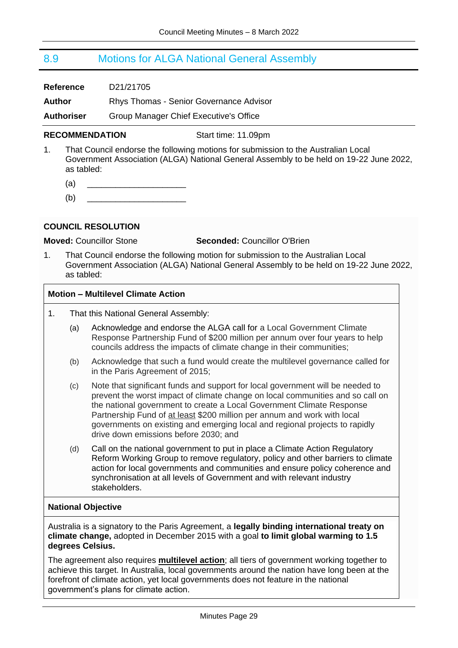## <span id="page-28-0"></span>8.9 Motions for ALGA National General Assembly

| <b>Reference</b>  | D21/21705                                      |
|-------------------|------------------------------------------------|
| Author            | <b>Rhys Thomas - Senior Governance Advisor</b> |
| <b>Authoriser</b> | Group Manager Chief Executive's Office         |

#### **RECOMMENDATION** Start time: 11.09pm

- 1. That Council endorse the following motions for submission to the Australian Local Government Association (ALGA) National General Assembly to be held on 19-22 June 2022, as tabled:
	- $\qquad \qquad \textbf{(a)} \qquad \qquad \boxed{ \qquad \qquad }$
	- $(b)$

#### <span id="page-28-1"></span>**COUNCIL RESOLUTION**

**Moved:** Councillor Stone **Seconded:** Councillor O'Brien

1. That Council endorse the following motion for submission to the Australian Local Government Association (ALGA) National General Assembly to be held on 19-22 June 2022, as tabled:

#### **Motion – Multilevel Climate Action**

- 1. That this National General Assembly:
	- (a) Acknowledge and endorse the ALGA call for a Local Government Climate Response Partnership Fund of \$200 million per annum over four years to help councils address the impacts of climate change in their communities;
	- (b) Acknowledge that such a fund would create the multilevel governance called for in the Paris Agreement of 2015;
	- (c) Note that significant funds and support for local government will be needed to prevent the worst impact of climate change on local communities and so call on the national government to create a Local Government Climate Response Partnership Fund of at least \$200 million per annum and work with local governments on existing and emerging local and regional projects to rapidly drive down emissions before 2030; and
	- (d) Call on the national government to put in place a Climate Action Regulatory Reform Working Group to remove regulatory, policy and other barriers to climate action for local governments and communities and ensure policy coherence and synchronisation at all levels of Government and with relevant industry stakeholders.

#### **National Objective**

Australia is a signatory to the Paris Agreement, a **legally binding international treaty on climate change,** adopted in December 2015 with a goal **to limit global warming to 1.5 degrees Celsius.**

The agreement also requires **multilevel action**; all tiers of government working together to achieve this target. In Australia, local governments around the nation have long been at the forefront of climate action, yet local governments does not feature in the national government's plans for climate action.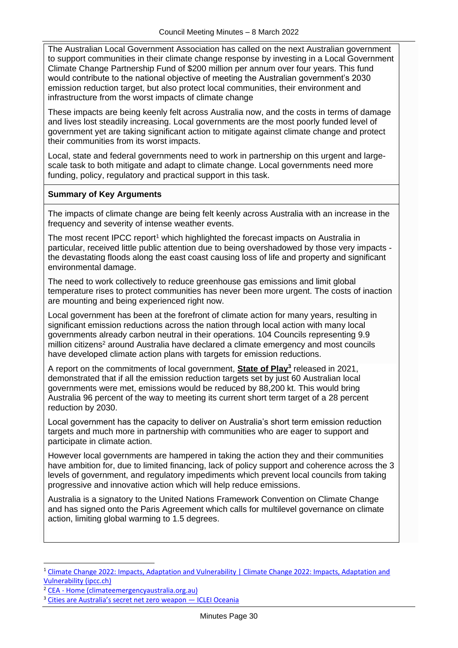The Australian Local Government Association has called on the next Australian government to support communities in their climate change response by investing in a Local Government Climate Change Partnership Fund of \$200 million per annum over four years. This fund would contribute to the national objective of meeting the Australian government's 2030 emission reduction target, but also protect local communities, their environment and infrastructure from the worst impacts of climate change

These impacts are being keenly felt across Australia now, and the costs in terms of damage and lives lost steadily increasing. Local governments are the most poorly funded level of government yet are taking significant action to mitigate against climate change and protect their communities from its worst impacts.

Local, state and federal governments need to work in partnership on this urgent and largescale task to both mitigate and adapt to climate change. Local governments need more funding, policy, regulatory and practical support in this task.

#### **Summary of Key Arguments**

The impacts of climate change are being felt keenly across Australia with an increase in the frequency and severity of intense weather events.

The most recent IPCC report<sup>1</sup> which highlighted the forecast impacts on Australia in particular, received little public attention due to being overshadowed by those very impacts the devastating floods along the east coast causing loss of life and property and significant environmental damage.

The need to work collectively to reduce greenhouse gas emissions and limit global temperature rises to protect communities has never been more urgent. The costs of inaction are mounting and being experienced right now.

Local government has been at the forefront of climate action for many years, resulting in significant emission reductions across the nation through local action with many local governments already carbon neutral in their operations. 104 Councils representing 9.9 million citizens<sup>2</sup> around Australia have declared a climate emergency and most councils have developed climate action plans with targets for emission reductions.

A report on the commitments of local government, **State of Play<sup>3</sup>** released in 2021, demonstrated that if all the emission reduction targets set by just 60 Australian local governments were met, emissions would be reduced by 88,200 kt. This would bring Australia 96 percent of the way to meeting its current short term target of a 28 percent reduction by 2030.

Local government has the capacity to deliver on Australia's short term emission reduction targets and much more in partnership with communities who are eager to support and participate in climate action.

However local governments are hampered in taking the action they and their communities have ambition for, due to limited financing, lack of policy support and coherence across the 3 levels of government, and regulatory impediments which prevent local councils from taking progressive and innovative action which will help reduce emissions.

Australia is a signatory to the United Nations Framework Convention on Climate Change and has signed onto the Paris Agreement which calls for multilevel governance on climate action, limiting global warming to 1.5 degrees.

<sup>1</sup> [Climate Change 2022: Impacts, Adaptation and Vulnerability | Climate Change 2022: Impacts, Adaptation and](https://www.ipcc.ch/report/ar6/wg2/)  [Vulnerability \(ipcc.ch\)](https://www.ipcc.ch/report/ar6/wg2/)

<sup>2</sup> CEA - [Home \(climateemergencyaustralia.org.au\)](https://www.climateemergencyaustralia.org.au/)

<sup>&</sup>lt;sup>3</sup> [Cities are Australia's secret net zero weapon —](https://www.icleioceania.org/icleioceanianews/2021/6/18/cities-are-australias-secret-net-zero-weapon) ICLEI Oceania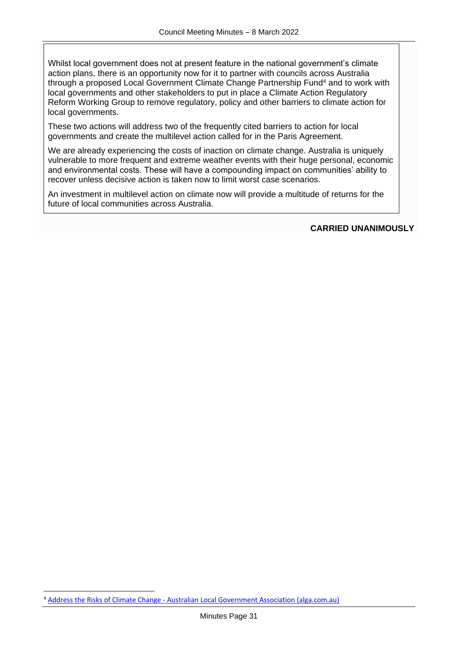Whilst local government does not at present feature in the national government's climate action plans, there is an opportunity now for it to partner with councils across Australia through a proposed Local Government Climate Change Partnership Fund<sup>4</sup> and to work with local governments and other stakeholders to put in place a Climate Action Regulatory Reform Working Group to remove regulatory, policy and other barriers to climate action for local governments.

These two actions will address two of the frequently cited barriers to action for local governments and create the multilevel action called for in the Paris Agreement.

We are already experiencing the costs of inaction on climate change. Australia is uniquely vulnerable to more frequent and extreme weather events with their huge personal, economic and environmental costs. These will have a compounding impact on communities' ability to recover unless decisive action is taken now to limit worst case scenarios.

An investment in multilevel action on climate now will provide a multitude of returns for the future of local communities across Australia.

#### **CARRIED UNANIMOUSLY**

<sup>4</sup> Address the Risks of Climate Change - [Australian Local Government Association \(alga.com.au\)](https://alga.com.au/policy-centre/climate-change/)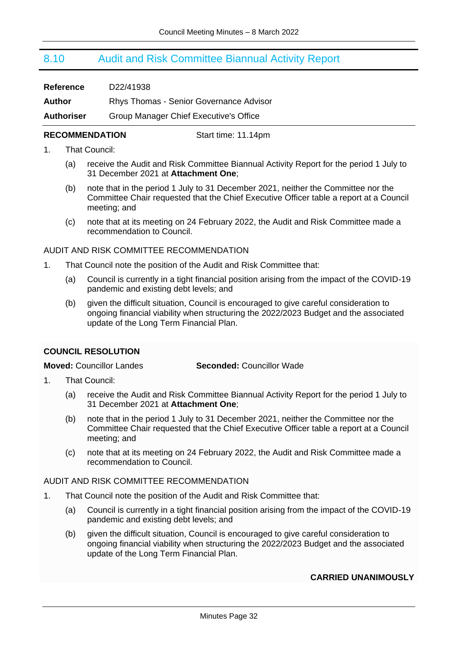## <span id="page-31-0"></span>8.10 Audit and Risk Committee Biannual Activity Report

| <b>Reference</b>  | D <sub>22</sub> /41938                  |
|-------------------|-----------------------------------------|
| Author            | Rhys Thomas - Senior Governance Advisor |
| <b>Authoriser</b> | Group Manager Chief Executive's Office  |

#### **RECOMMENDATION** Start time: 11.14pm

- 1. That Council:
	- (a) receive the Audit and Risk Committee Biannual Activity Report for the period 1 July to 31 December 2021 at **Attachment One**;
	- (b) note that in the period 1 July to 31 December 2021, neither the Committee nor the Committee Chair requested that the Chief Executive Officer table a report at a Council meeting; and
	- (c) note that at its meeting on 24 February 2022, the Audit and Risk Committee made a recommendation to Council.

#### AUDIT AND RISK COMMITTEE RECOMMENDATION

- 1. That Council note the position of the Audit and Risk Committee that:
	- (a) Council is currently in a tight financial position arising from the impact of the COVID-19 pandemic and existing debt levels; and
	- (b) given the difficult situation, Council is encouraged to give careful consideration to ongoing financial viability when structuring the 2022/2023 Budget and the associated update of the Long Term Financial Plan.

#### <span id="page-31-1"></span>**COUNCIL RESOLUTION**

**Moved:** Councillor Landes **Seconded:** Councillor Wade

- 1. That Council:
	- (a) receive the Audit and Risk Committee Biannual Activity Report for the period 1 July to 31 December 2021 at **Attachment One**;
	- (b) note that in the period 1 July to 31 December 2021, neither the Committee nor the Committee Chair requested that the Chief Executive Officer table a report at a Council meeting; and
	- (c) note that at its meeting on 24 February 2022, the Audit and Risk Committee made a recommendation to Council.

#### AUDIT AND RISK COMMITTEE RECOMMENDATION

- 1. That Council note the position of the Audit and Risk Committee that:
	- (a) Council is currently in a tight financial position arising from the impact of the COVID-19 pandemic and existing debt levels; and
	- (b) given the difficult situation, Council is encouraged to give careful consideration to ongoing financial viability when structuring the 2022/2023 Budget and the associated update of the Long Term Financial Plan.

#### **CARRIED UNANIMOUSLY**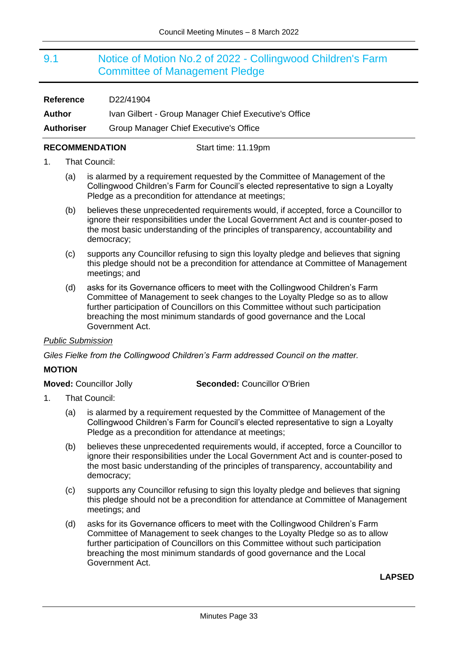## <span id="page-32-0"></span>9.1 Notice of Motion No.2 of 2022 - Collingwood Children's Farm Committee of Management Pledge

| <b>Reference</b>  | D22/41904                                             |
|-------------------|-------------------------------------------------------|
| Author            | Ivan Gilbert - Group Manager Chief Executive's Office |
| <b>Authoriser</b> | Group Manager Chief Executive's Office                |

#### **RECOMMENDATION** Start time: 11.19pm

#### 1. That Council:

- (a) is alarmed by a requirement requested by the Committee of Management of the Collingwood Children's Farm for Council's elected representative to sign a Loyalty Pledge as a precondition for attendance at meetings;
- (b) believes these unprecedented requirements would, if accepted, force a Councillor to ignore their responsibilities under the Local Government Act and is counter-posed to the most basic understanding of the principles of transparency, accountability and democracy;
- (c) supports any Councillor refusing to sign this loyalty pledge and believes that signing this pledge should not be a precondition for attendance at Committee of Management meetings; and
- (d) asks for its Governance officers to meet with the Collingwood Children's Farm Committee of Management to seek changes to the Loyalty Pledge so as to allow further participation of Councillors on this Committee without such participation breaching the most minimum standards of good governance and the Local Government Act.

#### *Public Submission*

*Giles Fielke from the Collingwood Children's Farm addressed Council on the matter.*

#### **MOTION**

**Moved:** Councillor Jolly **Seconded:** Councillor O'Brien

- 1. That Council:
	- (a) is alarmed by a requirement requested by the Committee of Management of the Collingwood Children's Farm for Council's elected representative to sign a Loyalty Pledge as a precondition for attendance at meetings;
	- (b) believes these unprecedented requirements would, if accepted, force a Councillor to ignore their responsibilities under the Local Government Act and is counter-posed to the most basic understanding of the principles of transparency, accountability and democracy;
	- (c) supports any Councillor refusing to sign this loyalty pledge and believes that signing this pledge should not be a precondition for attendance at Committee of Management meetings; and
	- (d) asks for its Governance officers to meet with the Collingwood Children's Farm Committee of Management to seek changes to the Loyalty Pledge so as to allow further participation of Councillors on this Committee without such participation breaching the most minimum standards of good governance and the Local Government Act.

#### <span id="page-32-1"></span>**LAPSED**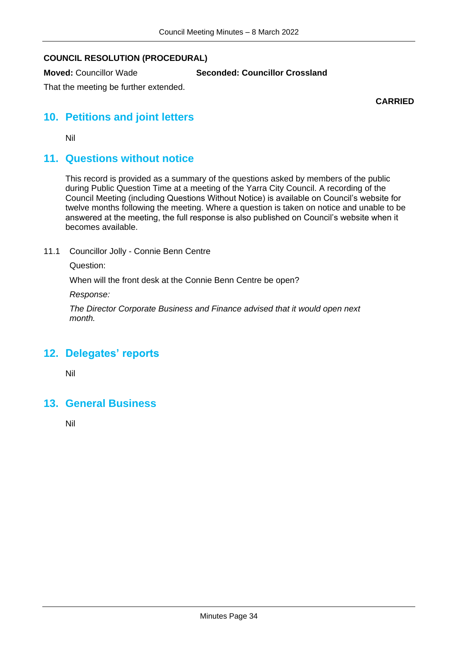### **COUNCIL RESOLUTION (PROCEDURAL)**

**Moved:** Councillor Wade **Seconded: Councillor Crossland**

That the meeting be further extended.

**CARRIED**

## **10. Petitions and joint letters**

Nil

## **11. Questions without notice**

This record is provided as a summary of the questions asked by members of the public during Public Question Time at a meeting of the Yarra City Council. A recording of the Council Meeting (including Questions Without Notice) is available on Council's website for twelve months following the meeting. Where a question is taken on notice and unable to be answered at the meeting, the full response is also published on Council's website when it becomes available.

11.1 Councillor Jolly - Connie Benn Centre

Question:

When will the front desk at the Connie Benn Centre be open?

*Response:*

*The Director Corporate Business and Finance advised that it would open next month.*

## **12. Delegates' reports**

Nil

## **13. General Business**

Nil